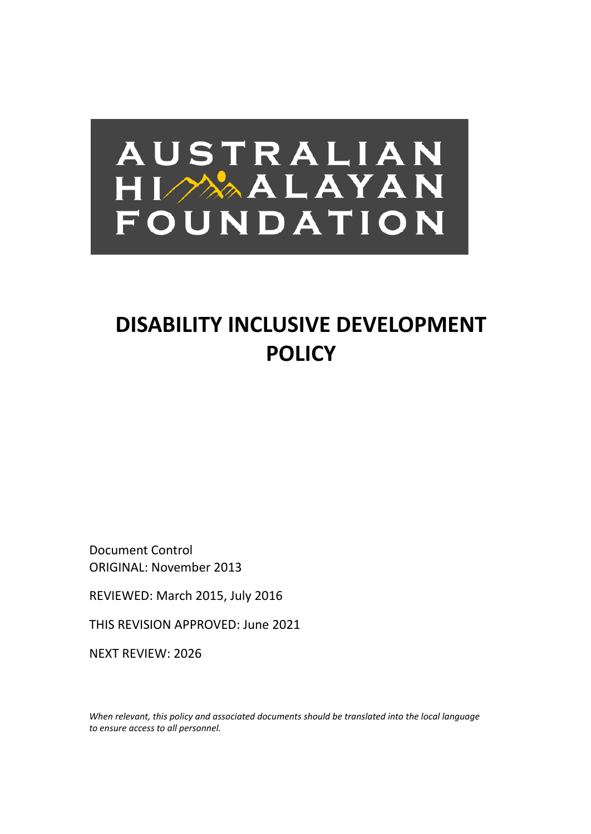# AUSTRALIAN HIMALAYAN FOUNDATION

## **DISABILITY INCLUSIVE DEVELOPMENT POLICY**

Document Control ORIGINAL: November 2013

REVIEWED: March 2015, July 2016

THIS REVISION APPROVED: June 2021

NEXT REVIEW: 2026

*When relevant, this policy and associated documents should be translated into the local language to ensure access to all personnel.*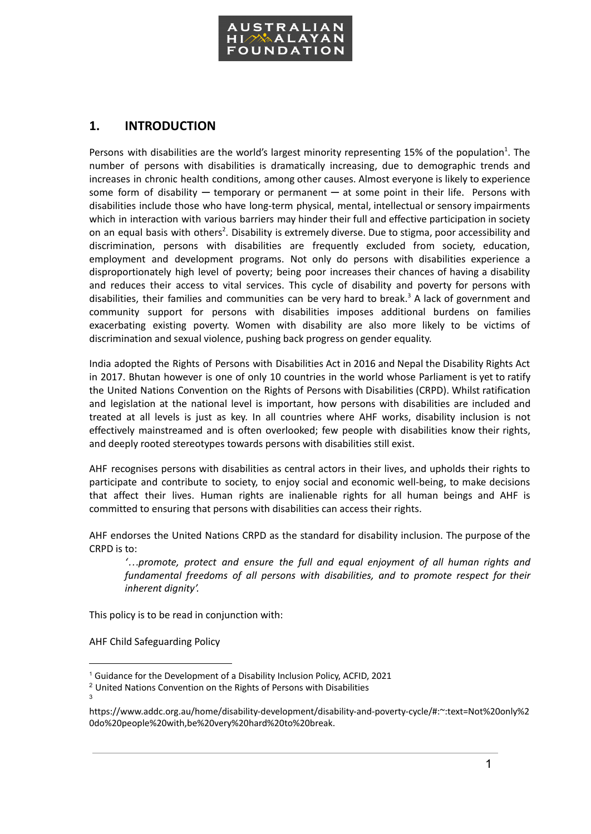

## **1. INTRODUCTION**

Persons with disabilities are the world's largest minority representing 15% of the population<sup>1</sup>. The number of persons with disabilities is dramatically increasing, due to demographic trends and increases in chronic health conditions, among other causes. Almost everyone is likely to experience some form of disability  $-$  temporary or permanent  $-$  at some point in their life. Persons with disabilities include those who have long-term physical, mental, intellectual or sensory impairments which in interaction with various barriers may hinder their full and effective participation in society on an equal basis with others<sup>2</sup>. Disability is extremely diverse. Due to stigma, poor accessibility and discrimination, persons with disabilities are frequently excluded from society, education, employment and development programs. Not only do persons with disabilities experience a disproportionately high level of poverty; being poor increases their chances of having a disability and reduces their access to vital services. This cycle of disability and poverty for persons with disabilities, their families and communities can be very hard to break. <sup>3</sup> A lack of government and community support for persons with disabilities imposes additional burdens on families exacerbating existing poverty. Women with disability are also more likely to be victims of discrimination and sexual violence, pushing back progress on gender equality.

India adopted the Rights of Persons with Disabilities Act in 2016 and Nepal the Disability Rights Act in 2017. Bhutan however is one of only 10 countries in the world whose Parliament is yet to ratify the United Nations Convention on the Rights of Persons with Disabilities (CRPD). Whilst ratification and legislation at the national level is important, how persons with disabilities are included and treated at all levels is just as key. In all countries where AHF works, disability inclusion is not effectively mainstreamed and is often overlooked; few people with disabilities know their rights, and deeply rooted stereotypes towards persons with disabilities still exist.

AHF recognises persons with disabilities as central actors in their lives, and upholds their rights to participate and contribute to society, to enjoy social and economic well-being, to make decisions that affect their lives. Human rights are inalienable rights for all human beings and AHF is committed to ensuring that persons with disabilities can access their rights.

AHF endorses the United Nations CRPD as the standard for disability inclusion. The purpose of the CRPD is to:

*'…promote, protect and ensure the full and equal enjoyment of all human rights and fundamental freedoms of all persons with disabilities, and to promote respect for their inherent dignity'.*

This policy is to be read in conjunction with:

AHF Child Safeguarding Policy

<sup>&</sup>lt;sup>1</sup> Guidance for the Development of a Disability Inclusion Policy, ACFID, 2021

<sup>3</sup> <sup>2</sup> United Nations Convention on the Rights of Persons with Disabilities

[https://www.addc.org.au/home/disability-development/disability-and-poverty-cycle/#:~:text=Not%20only%2](https://www.addc.org.au/home/disability-development/disability-and-poverty-cycle/#:~:text=Not%20only%20do%20people%20with,be%20very%20hard%20to%20break) [0do%20people%20with,be%20very%20hard%20to%20break.](https://www.addc.org.au/home/disability-development/disability-and-poverty-cycle/#:~:text=Not%20only%20do%20people%20with,be%20very%20hard%20to%20break)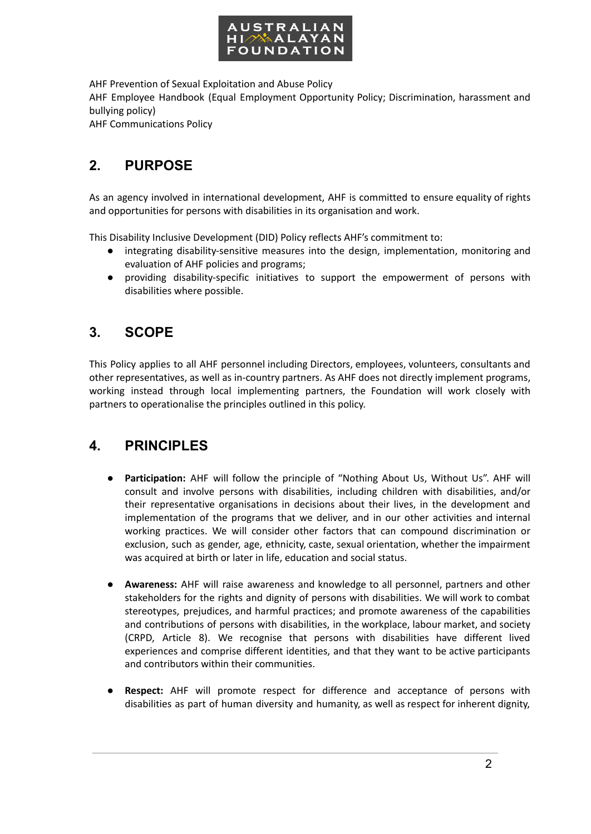

AHF Prevention of Sexual Exploitation and Abuse Policy

AHF Employee Handbook (Equal Employment Opportunity Policy; Discrimination, harassment and bullying policy)

AHF Communications Policy

## **2. PURPOSE**

As an agency involved in international development, AHF is committed to ensure equality of rights and opportunities for persons with disabilities in its organisation and work.

This Disability Inclusive Development (DID) Policy reflects AHF's commitment to:

- integrating disability-sensitive measures into the design, implementation, monitoring and evaluation of AHF policies and programs;
- providing disability-specific initiatives to support the empowerment of persons with disabilities where possible.

## **3. SCOPE**

This Policy applies to all AHF personnel including Directors, employees, volunteers, consultants and other representatives, as well as in-country partners. As AHF does not directly implement programs, working instead through local implementing partners, the Foundation will work closely with partners to operationalise the principles outlined in this policy.

## **4. PRINCIPLES**

- **● Participation:** AHF will follow the principle of "Nothing About Us, Without Us". AHF will consult and involve persons with disabilities, including children with disabilities, and/or their representative organisations in decisions about their lives, in the development and implementation of the programs that we deliver, and in our other activities and internal working practices. We will consider other factors that can compound discrimination or exclusion, such as gender, age, ethnicity, caste, sexual orientation, whether the impairment was acquired at birth or later in life, education and social status.
- **● Awareness:** AHF will raise awareness and knowledge to all personnel, partners and other stakeholders for the rights and dignity of persons with disabilities. We will work to combat stereotypes, prejudices, and harmful practices; and promote awareness of the capabilities and contributions of persons with disabilities, in the workplace, labour market, and society (CRPD, Article 8). We recognise that persons with disabilities have different lived experiences and comprise different identities, and that they want to be active participants and contributors within their communities.
- **Respect:** AHF will promote respect for difference and acceptance of persons with disabilities as part of human diversity and humanity, as well as respect for inherent dignity,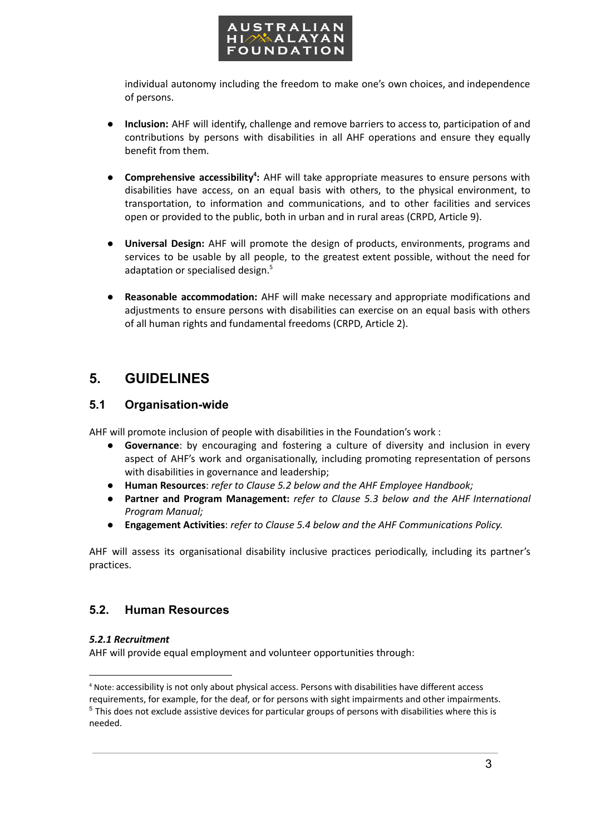

individual autonomy including the freedom to make one's own choices, and independence of persons.

- **Inclusion:** AHF will identify, challenge and remove barriers to access to, participation of and contributions by persons with disabilities in all AHF operations and ensure they equally benefit from them.
- **● Comprehensive accessibility 4 :** AHF will take appropriate measures to ensure persons with disabilities have access, on an equal basis with others, to the physical environment, to transportation, to information and communications, and to other facilities and services open or provided to the public, both in urban and in rural areas (CRPD, Article 9).
- **Universal Design:** AHF will promote the design of products, environments, programs and services to be usable by all people, to the greatest extent possible, without the need for adaptation or specialised design. 5
- **● Reasonable accommodation:** AHF will make necessary and appropriate modifications and adjustments to ensure persons with disabilities can exercise on an equal basis with others of all human rights and fundamental freedoms (CRPD, Article 2).

## **5. GUIDELINES**

## **5.1 Organisation-wide**

AHF will promote inclusion of people with disabilities in the Foundation's work :

- **Governance**: by encouraging and fostering a culture of diversity and inclusion in every aspect of AHF's work and organisationally, including promoting representation of persons with disabilities in governance and leadership;
- **Human Resources**: *refer to Clause 5.2 below and the AHF Employee Handbook;*
- *●* **Partner and Program Management:** *refer to Clause 5.3 below and the AHF International Program Manual;*
- **Engagement Activities**: *refer to Clause 5.4 below and the AHF Communications Policy.*

AHF will assess its organisational disability inclusive practices periodically, including its partner's practices.

## **5.2. Human Resources**

## *5.2.1 Recruitment*

AHF will provide equal employment and volunteer opportunities through:

<sup>5</sup> This does not exclude assistive devices for particular groups of persons with disabilities where this is needed. <sup>4</sup> Note: accessibility is not only about physical access. Persons with disabilities have different access requirements, for example, for the deaf, or for persons with sight impairments and other impairments.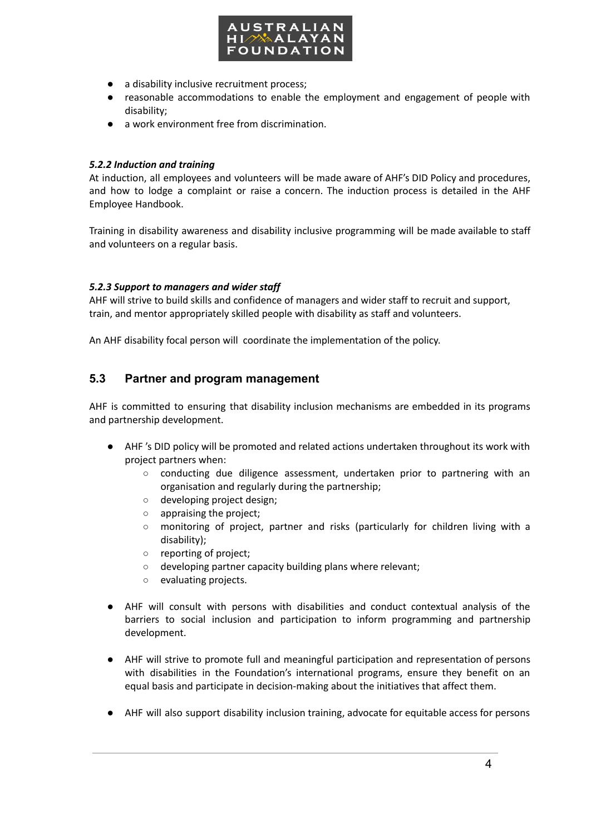

- a disability inclusive recruitment process;
- reasonable accommodations to enable the employment and engagement of people with disability;
- a work environment free from discrimination.

#### *5.2.2 Induction and training*

At induction, all employees and volunteers will be made aware of AHF's DID Policy and procedures, and how to lodge a complaint or raise a concern. The induction process is detailed in the AHF Employee Handbook.

Training in disability awareness and disability inclusive programming will be made available to staff and volunteers on a regular basis.

#### *5.2.3 Support to managers and wider staff*

AHF will strive to build skills and confidence of managers and wider staff to recruit and support, train, and mentor appropriately skilled people with disability as staff and volunteers.

An AHF disability focal person will coordinate the implementation of the policy.

## **5.3 Partner and program management**

AHF is committed to ensuring that disability inclusion mechanisms are embedded in its programs and partnership development.

- AHF 's DID policy will be promoted and related actions undertaken throughout its work with project partners when:
	- conducting due diligence assessment, undertaken prior to partnering with an organisation and regularly during the partnership;
	- developing project design;
	- appraising the project;
	- monitoring of project, partner and risks (particularly for children living with a disability);
	- reporting of project;
	- developing partner capacity building plans where relevant;
	- evaluating projects.
- AHF will consult with persons with disabilities and conduct contextual analysis of the barriers to social inclusion and participation to inform programming and partnership development.
- AHF will strive to promote full and meaningful participation and representation of persons with disabilities in the Foundation's international programs, ensure they benefit on an equal basis and participate in decision-making about the initiatives that affect them.
- AHF will also support disability inclusion training, advocate for equitable access for persons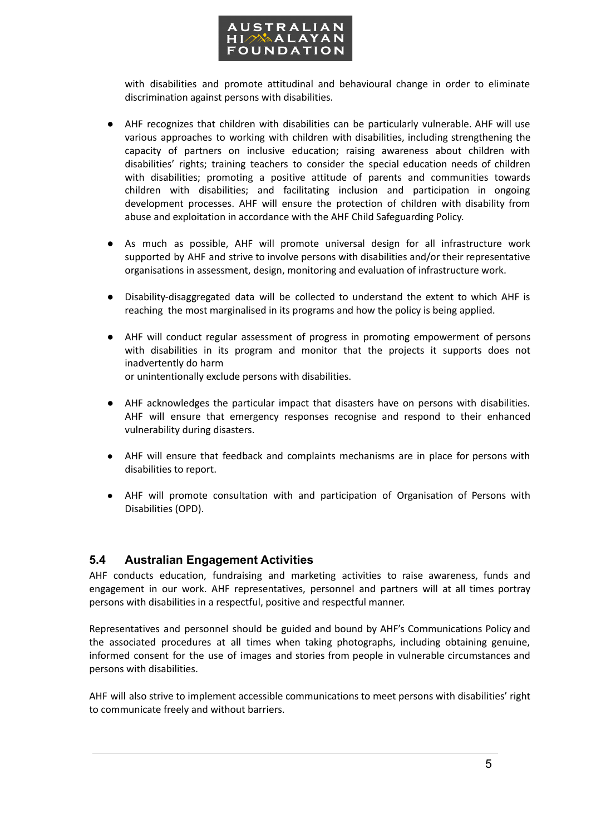

with disabilities and promote attitudinal and behavioural change in order to eliminate discrimination against persons with disabilities.

- AHF recognizes that children with disabilities can be particularly vulnerable. AHF will use various approaches to working with children with disabilities, including strengthening the capacity of partners on inclusive education; raising awareness about children with disabilities' rights; training teachers to consider the special education needs of children with disabilities; promoting a positive attitude of parents and communities towards children with disabilities; and facilitating inclusion and participation in ongoing development processes. AHF will ensure the protection of children with disability from abuse and exploitation in accordance with the AHF Child Safeguarding Policy.
- As much as possible, AHF will promote universal design for all infrastructure work supported by AHF and strive to involve persons with disabilities and/or their representative organisations in assessment, design, monitoring and evaluation of infrastructure work.
- Disability-disaggregated data will be collected to understand the extent to which AHF is reaching the most marginalised in its programs and how the policy is being applied.
- AHF will conduct regular assessment of progress in promoting empowerment of persons with disabilities in its program and monitor that the projects it supports does not inadvertently do harm

or unintentionally exclude persons with disabilities.

- AHF acknowledges the particular impact that disasters have on persons with disabilities. AHF will ensure that emergency responses recognise and respond to their enhanced vulnerability during disasters.
- AHF will ensure that feedback and complaints mechanisms are in place for persons with disabilities to report.
- AHF will promote consultation with and participation of Organisation of Persons with Disabilities (OPD).

## **5.4 Australian Engagement Activities**

AHF conducts education, fundraising and marketing activities to raise awareness, funds and engagement in our work. AHF representatives, personnel and partners will at all times portray persons with disabilities in a respectful, positive and respectful manner.

Representatives and personnel should be guided and bound by AHF's Communications Policy and the associated procedures at all times when taking photographs, including obtaining genuine, informed consent for the use of images and stories from people in vulnerable circumstances and persons with disabilities.

AHF will also strive to implement accessible communications to meet persons with disabilities' right to communicate freely and without barriers.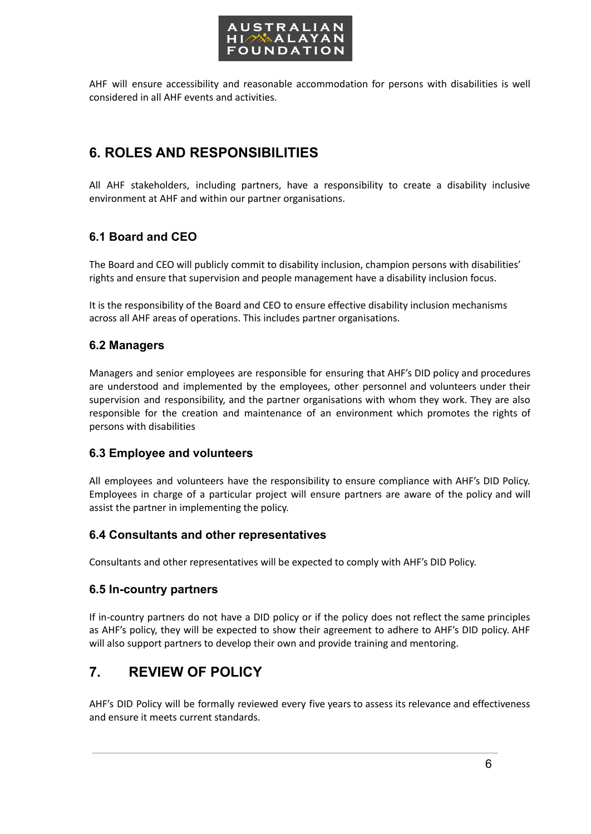

AHF will ensure accessibility and reasonable accommodation for persons with disabilities is well considered in all AHF events and activities.

## **6. ROLES AND RESPONSIBILITIES**

All AHF stakeholders, including partners, have a responsibility to create a disability inclusive environment at AHF and within our partner organisations.

## **6.1 Board and CEO**

The Board and CEO will publicly commit to disability inclusion, champion persons with disabilities' rights and ensure that supervision and people management have a disability inclusion focus.

It is the responsibility of the Board and CEO to ensure effective disability inclusion mechanisms across all AHF areas of operations. This includes partner organisations.

## **6.2 Managers**

Managers and senior employees are responsible for ensuring that AHF's DID policy and procedures are understood and implemented by the employees, other personnel and volunteers under their supervision and responsibility, and the partner organisations with whom they work. They are also responsible for the creation and maintenance of an environment which promotes the rights of persons with disabilities

#### **6.3 Employee and volunteers**

All employees and volunteers have the responsibility to ensure compliance with AHF's DID Policy. Employees in charge of a particular project will ensure partners are aware of the policy and will assist the partner in implementing the policy.

## **6.4 Consultants and other representatives**

Consultants and other representatives will be expected to comply with AHF's DID Policy.

## **6.5 In-country partners**

If in-country partners do not have a DID policy or if the policy does not reflect the same principles as AHF's policy, they will be expected to show their agreement to adhere to AHF's DID policy. AHF will also support partners to develop their own and provide training and mentoring.

## **7. REVIEW OF POLICY**

AHF's DID Policy will be formally reviewed every five years to assess its relevance and effectiveness and ensure it meets current standards.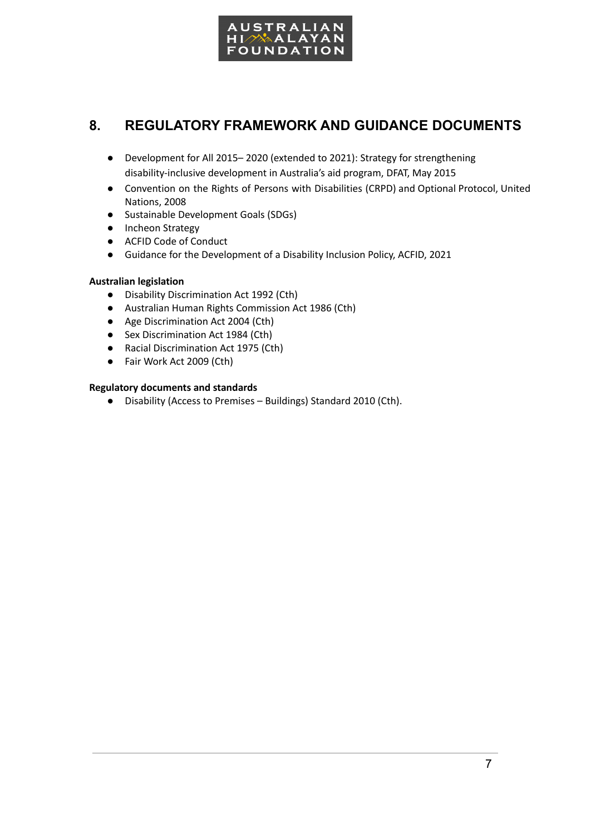

## **8. REGULATORY FRAMEWORK AND GUIDANCE DOCUMENTS**

- Development for All 2015– 2020 (extended to 2021): Strategy for strengthening disability-inclusive development in Australia's aid program, DFAT, May 2015
- Convention on the Rights of Persons with Disabilities (CRPD) and Optional Protocol, United Nations, 2008
- Sustainable Development Goals (SDGs)
- Incheon Strategy
- ACFID Code of Conduct
- Guidance for the Development of a Disability Inclusion Policy, ACFID, 2021

#### **Australian legislation**

- Disability Discrimination Act 1992 (Cth)
- Australian Human Rights Commission Act 1986 (Cth)
- Age Discrimination Act 2004 (Cth)
- Sex Discrimination Act 1984 (Cth)
- Racial Discrimination Act 1975 (Cth)
- Fair Work Act 2009 (Cth)

#### **Regulatory documents and standards**

● Disability (Access to Premises – Buildings) Standard 2010 (Cth).